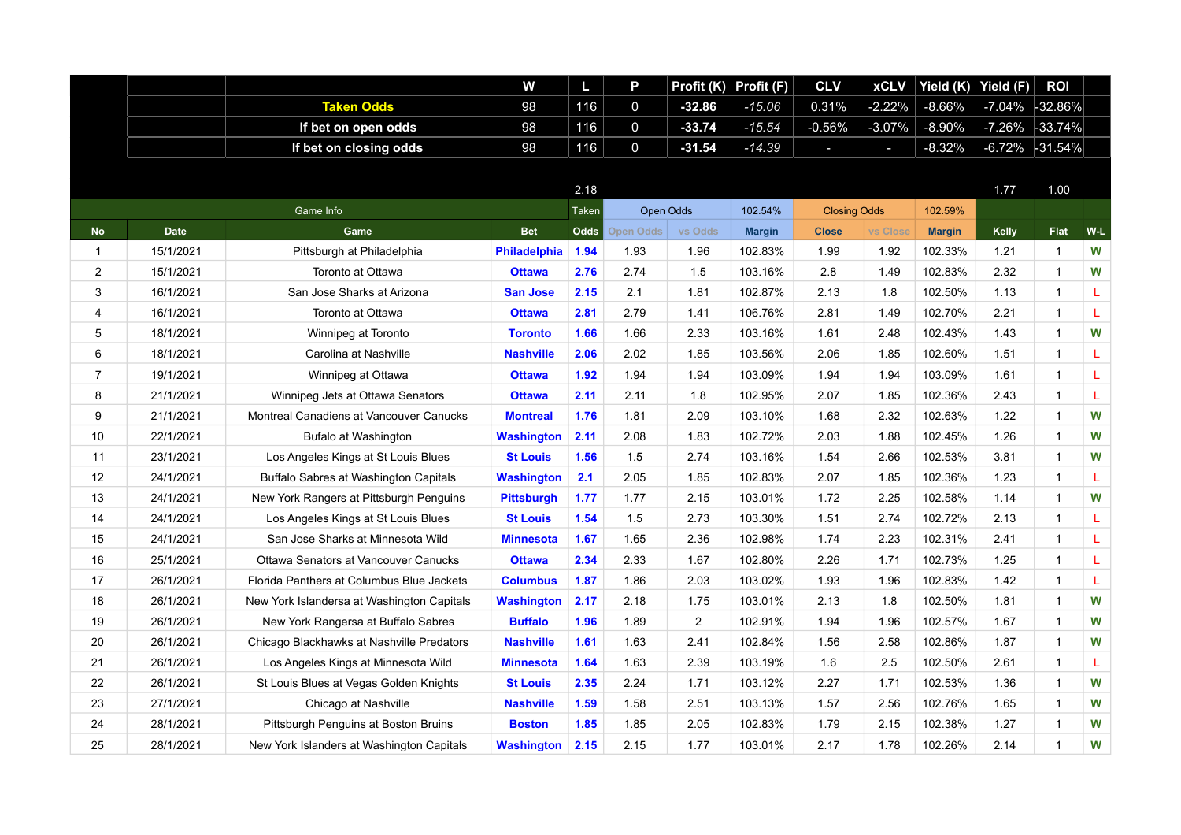|                         |             |                                              | W                   | Ш           | P           | Profit (K)       | Profit (F)    | <b>CLV</b>          | <b>xCLV</b>              | Yield (K)     | Yield (F) | <b>ROI</b>     |     |
|-------------------------|-------------|----------------------------------------------|---------------------|-------------|-------------|------------------|---------------|---------------------|--------------------------|---------------|-----------|----------------|-----|
|                         |             | <b>Taken Odds</b>                            | 98                  | 116         | $\mathbf 0$ | $-32.86$         | $-15.06$      | 0.31%               | $-2.22%$                 | $-8.66%$      | $-7.04%$  | -32.86%        |     |
|                         |             | If bet on open odds                          | 98                  | 116         | $\mathbf 0$ | $-33.74$         | $-15.54$      | $-0.56%$            | $-3.07%$                 | $-8.90%$      | $-7.26%$  | -33.74%        |     |
|                         |             | If bet on closing odds                       | 98                  | 116         | $\mathbf 0$ | $-31.54$         | $-14.39$      | н                   | $\overline{\phantom{a}}$ | $-8.32%$      | $-6.72%$  | $-31.54%$      |     |
|                         |             |                                              |                     |             |             |                  |               |                     |                          |               |           |                |     |
|                         |             |                                              |                     | 2.18        |             |                  |               |                     |                          |               | 1.77      | 1.00           |     |
|                         |             | Game Info                                    |                     | Taken       |             | <b>Open Odds</b> | 102.54%       | <b>Closing Odds</b> |                          | 102.59%       |           |                |     |
| <b>No</b>               | <b>Date</b> | Game                                         | <b>Bet</b>          | <b>Odds</b> | Open Odds   | vs Odds          | <b>Margin</b> | <b>Close</b>        | <b>vs Close</b>          | <b>Margin</b> | Kelly     | <b>Flat</b>    | W-L |
| $\mathbf{1}$            | 15/1/2021   | Pittsburgh at Philadelphia                   | <b>Philadelphia</b> | 1.94        | 1.93        | 1.96             | 102.83%       | 1.99                | 1.92                     | 102.33%       | 1.21      | -1             | W   |
| $\overline{2}$          | 15/1/2021   | Toronto at Ottawa                            | <b>Ottawa</b>       | 2.76        | 2.74        | 1.5              | 103.16%       | 2.8                 | 1.49                     | 102.83%       | 2.32      | $\mathbf{1}$   | W   |
| 3                       | 16/1/2021   | San Jose Sharks at Arizona                   | <b>San Jose</b>     | 2.15        | 2.1         | 1.81             | 102.87%       | 2.13                | 1.8                      | 102.50%       | 1.13      | $\mathbf{1}$   | L   |
| $\overline{\mathbf{4}}$ | 16/1/2021   | Toronto at Ottawa                            | <b>Ottawa</b>       | 2.81        | 2.79        | 1.41             | 106.76%       | 2.81                | 1.49                     | 102.70%       | 2.21      | $\mathbf{1}$   | L   |
| 5                       | 18/1/2021   | Winnipeg at Toronto                          | <b>Toronto</b>      | 1.66        | 1.66        | 2.33             | 103.16%       | 1.61                | 2.48                     | 102.43%       | 1.43      | $\overline{1}$ | W   |
| 6                       | 18/1/2021   | Carolina at Nashville                        | <b>Nashville</b>    | 2.06        | 2.02        | 1.85             | 103.56%       | 2.06                | 1.85                     | 102.60%       | 1.51      | $\mathbf{1}$   | L   |
| $\overline{7}$          | 19/1/2021   | Winnipeg at Ottawa                           | <b>Ottawa</b>       | 1.92        | 1.94        | 1.94             | 103.09%       | 1.94                | 1.94                     | 103.09%       | 1.61      | $\mathbf{1}$   | L   |
| 8                       | 21/1/2021   | Winnipeg Jets at Ottawa Senators             | <b>Ottawa</b>       | 2.11        | 2.11        | 1.8              | 102.95%       | 2.07                | 1.85                     | 102.36%       | 2.43      | $\mathbf{1}$   | L   |
| 9                       | 21/1/2021   | Montreal Canadiens at Vancouver Canucks      | <b>Montreal</b>     | 1.76        | 1.81        | 2.09             | 103.10%       | 1.68                | 2.32                     | 102.63%       | 1.22      | $\overline{1}$ | W   |
| 10                      | 22/1/2021   | Bufalo at Washington                         | <b>Washington</b>   | 2.11        | 2.08        | 1.83             | 102.72%       | 2.03                | 1.88                     | 102.45%       | 1.26      | $\mathbf{1}$   | W   |
| 11                      | 23/1/2021   | Los Angeles Kings at St Louis Blues          | <b>St Louis</b>     | 1.56        | 1.5         | 2.74             | 103.16%       | 1.54                | 2.66                     | 102.53%       | 3.81      | $\mathbf{1}$   | W   |
| 12                      | 24/1/2021   | <b>Buffalo Sabres at Washington Capitals</b> | <b>Washington</b>   | 2.1         | 2.05        | 1.85             | 102.83%       | 2.07                | 1.85                     | 102.36%       | 1.23      | $\mathbf{1}$   | L   |
| 13                      | 24/1/2021   | New York Rangers at Pittsburgh Penguins      | <b>Pittsburgh</b>   | 1.77        | 1.77        | 2.15             | 103.01%       | 1.72                | 2.25                     | 102.58%       | 1.14      | $\mathbf{1}$   | W   |
| 14                      | 24/1/2021   | Los Angeles Kings at St Louis Blues          | <b>St Louis</b>     | 1.54        | 1.5         | 2.73             | 103.30%       | 1.51                | 2.74                     | 102.72%       | 2.13      | $\mathbf 1$    | L   |
| 15                      | 24/1/2021   | San Jose Sharks at Minnesota Wild            | <b>Minnesota</b>    | 1.67        | 1.65        | 2.36             | 102.98%       | 1.74                | 2.23                     | 102.31%       | 2.41      | $\mathbf{1}$   | L   |
| 16                      | 25/1/2021   | Ottawa Senators at Vancouver Canucks         | <b>Ottawa</b>       | 2.34        | 2.33        | 1.67             | 102.80%       | 2.26                | 1.71                     | 102.73%       | 1.25      | $\mathbf{1}$   | L   |
| 17                      | 26/1/2021   | Florida Panthers at Columbus Blue Jackets    | <b>Columbus</b>     | 1.87        | 1.86        | 2.03             | 103.02%       | 1.93                | 1.96                     | 102.83%       | 1.42      | $\mathbf{1}$   | L   |
| 18                      | 26/1/2021   | New York Islandersa at Washington Capitals   | <b>Washington</b>   | 2.17        | 2.18        | 1.75             | 103.01%       | 2.13                | 1.8                      | 102.50%       | 1.81      | $\mathbf{1}$   | W   |
| 19                      | 26/1/2021   | New York Rangersa at Buffalo Sabres          | <b>Buffalo</b>      | 1.96        | 1.89        | $\overline{2}$   | 102.91%       | 1.94                | 1.96                     | 102.57%       | 1.67      | $\mathbf{1}$   | W   |
| 20                      | 26/1/2021   | Chicago Blackhawks at Nashville Predators    | <b>Nashville</b>    | 1.61        | 1.63        | 2.41             | 102.84%       | 1.56                | 2.58                     | 102.86%       | 1.87      | $\mathbf{1}$   | W   |
| 21                      | 26/1/2021   | Los Angeles Kings at Minnesota Wild          | Minnesota           | 1.64        | 1.63        | 2.39             | 103.19%       | 1.6                 | 2.5                      | 102.50%       | 2.61      | $\mathbf{1}$   | L   |
| 22                      | 26/1/2021   | St Louis Blues at Vegas Golden Knights       | <b>St Louis</b>     | 2.35        | 2.24        | 1.71             | 103.12%       | 2.27                | 1.71                     | 102.53%       | 1.36      | $\mathbf{1}$   | W   |
| 23                      | 27/1/2021   | Chicago at Nashville                         | <b>Nashville</b>    | 1.59        | 1.58        | 2.51             | 103.13%       | 1.57                | 2.56                     | 102.76%       | 1.65      | $\mathbf{1}$   | W   |
| 24                      | 28/1/2021   | Pittsburgh Penguins at Boston Bruins         | <b>Boston</b>       | 1.85        | 1.85        | 2.05             | 102.83%       | 1.79                | 2.15                     | 102.38%       | 1.27      | $\mathbf{1}$   | W   |
| 25                      | 28/1/2021   | New York Islanders at Washington Capitals    | <b>Washington</b>   | 2.15        | 2.15        | 1.77             | 103.01%       | 2.17                | 1.78                     | 102.26%       | 2.14      | $\overline{1}$ | W   |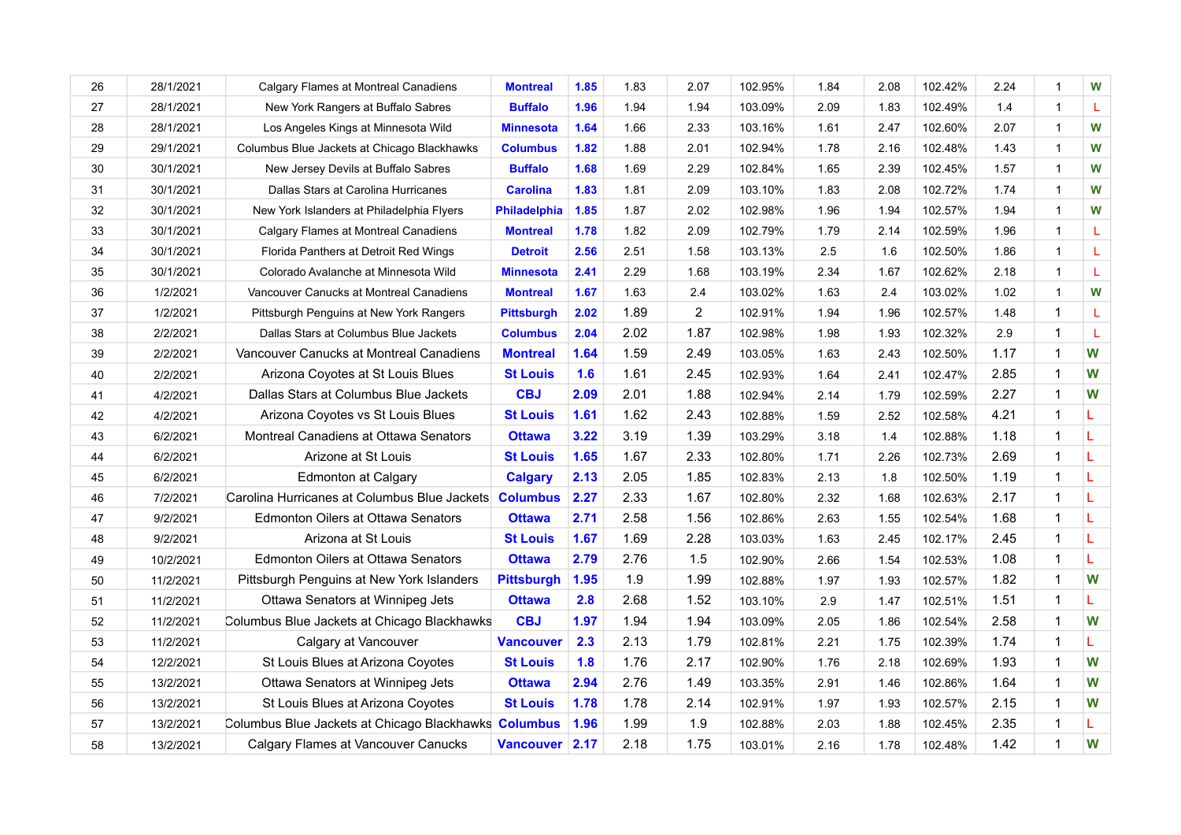| 26     | 28/1/2021 | Calgary Flames at Montreal Canadiens                 | <b>Montreal</b>     | 1.85 | 1.83 | 2.07           | 102.95% | 1.84 | 2.08 | 102.42% | 2.24 | $\mathbf 1$    | W  |
|--------|-----------|------------------------------------------------------|---------------------|------|------|----------------|---------|------|------|---------|------|----------------|----|
| 27     | 28/1/2021 | New York Rangers at Buffalo Sabres                   | <b>Buffalo</b>      | 1.96 | 1.94 | 1.94           | 103.09% | 2.09 | 1.83 | 102.49% | 1.4  | $\overline{1}$ | L  |
| 28     | 28/1/2021 | Los Angeles Kings at Minnesota Wild                  | <b>Minnesota</b>    | 1.64 | 1.66 | 2.33           | 103.16% | 1.61 | 2.47 | 102.60% | 2.07 | $\overline{1}$ | W  |
| 29     | 29/1/2021 | Columbus Blue Jackets at Chicago Blackhawks          | <b>Columbus</b>     | 1.82 | 1.88 | 2.01           | 102.94% | 1.78 | 2.16 | 102.48% | 1.43 | $\overline{1}$ | W  |
| $30\,$ | 30/1/2021 | New Jersey Devils at Buffalo Sabres                  | <b>Buffalo</b>      | 1.68 | 1.69 | 2.29           | 102.84% | 1.65 | 2.39 | 102.45% | 1.57 | $\overline{1}$ | W  |
| 31     | 30/1/2021 | Dallas Stars at Carolina Hurricanes                  | <b>Carolina</b>     | 1.83 | 1.81 | 2.09           | 103.10% | 1.83 | 2.08 | 102.72% | 1.74 | $\mathbf{1}$   | W  |
| 32     | 30/1/2021 | New York Islanders at Philadelphia Flyers            | <b>Philadelphia</b> | 1.85 | 1.87 | 2.02           | 102.98% | 1.96 | 1.94 | 102.57% | 1.94 | $\mathbf{1}$   | W  |
| 33     | 30/1/2021 | Calgary Flames at Montreal Canadiens                 | <b>Montreal</b>     | 1.78 | 1.82 | 2.09           | 102.79% | 1.79 | 2.14 | 102.59% | 1.96 | $\mathbf{1}$   | L  |
| 34     | 30/1/2021 | Florida Panthers at Detroit Red Wings                | <b>Detroit</b>      | 2.56 | 2.51 | 1.58           | 103.13% | 2.5  | 1.6  | 102.50% | 1.86 | $\mathbf{1}$   | L. |
| 35     | 30/1/2021 | Colorado Avalanche at Minnesota Wild                 | <b>Minnesota</b>    | 2.41 | 2.29 | 1.68           | 103.19% | 2.34 | 1.67 | 102.62% | 2.18 | $\overline{1}$ | L  |
| 36     | 1/2/2021  | Vancouver Canucks at Montreal Canadiens              | <b>Montreal</b>     | 1.67 | 1.63 | 2.4            | 103.02% | 1.63 | 2.4  | 103.02% | 1.02 | $\overline{1}$ | W  |
| 37     | 1/2/2021  | Pittsburgh Penguins at New York Rangers              | <b>Pittsburgh</b>   | 2.02 | 1.89 | $\overline{2}$ | 102.91% | 1.94 | 1.96 | 102.57% | 1.48 | $\mathbf{1}$   | L  |
| 38     | 2/2/2021  | Dallas Stars at Columbus Blue Jackets                | <b>Columbus</b>     | 2.04 | 2.02 | 1.87           | 102.98% | 1.98 | 1.93 | 102.32% | 2.9  | $\mathbf{1}$   | L  |
| 39     | 2/2/2021  | Vancouver Canucks at Montreal Canadiens              | <b>Montreal</b>     | 1.64 | 1.59 | 2.49           | 103.05% | 1.63 | 2.43 | 102.50% | 1.17 | $\mathbf{1}$   | W  |
| 40     | 2/2/2021  | Arizona Coyotes at St Louis Blues                    | <b>St Louis</b>     | 1.6  | 1.61 | 2.45           | 102.93% | 1.64 | 2.41 | 102.47% | 2.85 | 1              | W  |
| 41     | 4/2/2021  | Dallas Stars at Columbus Blue Jackets                | <b>CBJ</b>          | 2.09 | 2.01 | 1.88           | 102.94% | 2.14 | 1.79 | 102.59% | 2.27 | $\mathbf{1}$   | W  |
| 42     | 4/2/2021  | Arizona Coyotes vs St Louis Blues                    | <b>St Louis</b>     | 1.61 | 1.62 | 2.43           | 102.88% | 1.59 | 2.52 | 102.58% | 4.21 | 1              | L  |
| 43     | 6/2/2021  | Montreal Canadiens at Ottawa Senators                | <b>Ottawa</b>       | 3.22 | 3.19 | 1.39           | 103.29% | 3.18 | 1.4  | 102.88% | 1.18 |                | L  |
| 44     | 6/2/2021  | Arizone at St Louis                                  | <b>St Louis</b>     | 1.65 | 1.67 | 2.33           | 102.80% | 1.71 | 2.26 | 102.73% | 2.69 | 1              | L  |
| 45     | 6/2/2021  | <b>Edmonton at Calgary</b>                           | <b>Calgary</b>      | 2.13 | 2.05 | 1.85           | 102.83% | 2.13 | 1.8  | 102.50% | 1.19 | $\mathbf{1}$   | L  |
| 46     | 7/2/2021  | Carolina Hurricanes at Columbus Blue Jackets         | <b>Columbus</b>     | 2.27 | 2.33 | 1.67           | 102.80% | 2.32 | 1.68 | 102.63% | 2.17 | $\mathbf{1}$   | L  |
| 47     | 9/2/2021  | Edmonton Oilers at Ottawa Senators                   | <b>Ottawa</b>       | 2.71 | 2.58 | 1.56           | 102.86% | 2.63 | 1.55 | 102.54% | 1.68 | $\mathbf{1}$   | L  |
| 48     | 9/2/2021  | Arizona at St Louis                                  | <b>St Louis</b>     | 1.67 | 1.69 | 2.28           | 103.03% | 1.63 | 2.45 | 102.17% | 2.45 | 1              | L  |
| 49     | 10/2/2021 | Edmonton Oilers at Ottawa Senators                   | <b>Ottawa</b>       | 2.79 | 2.76 | 1.5            | 102.90% | 2.66 | 1.54 | 102.53% | 1.08 | $\mathbf{1}$   | L  |
| 50     | 11/2/2021 | Pittsburgh Penguins at New York Islanders            | <b>Pittsburgh</b>   | 1.95 | 1.9  | 1.99           | 102.88% | 1.97 | 1.93 | 102.57% | 1.82 | $\mathbf{1}$   | W  |
| 51     | 11/2/2021 | Ottawa Senators at Winnipeg Jets                     | <b>Ottawa</b>       | 2.8  | 2.68 | 1.52           | 103.10% | 2.9  | 1.47 | 102.51% | 1.51 |                | L  |
| 52     | 11/2/2021 | Columbus Blue Jackets at Chicago Blackhawks          | <b>CBJ</b>          | 1.97 | 1.94 | 1.94           | 103.09% | 2.05 | 1.86 | 102.54% | 2.58 | $\mathbf{1}$   | W  |
| 53     | 11/2/2021 | Calgary at Vancouver                                 | <b>Vancouver</b>    | 2.3  | 2.13 | 1.79           | 102.81% | 2.21 | 1.75 | 102.39% | 1.74 | $\mathbf{1}$   | L  |
| 54     | 12/2/2021 | St Louis Blues at Arizona Coyotes                    | <b>St Louis</b>     | 1.8  | 1.76 | 2.17           | 102.90% | 1.76 | 2.18 | 102.69% | 1.93 | $\mathbf{1}$   | W  |
| 55     | 13/2/2021 | Ottawa Senators at Winnipeg Jets                     | <b>Ottawa</b>       | 2.94 | 2.76 | 1.49           | 103.35% | 2.91 | 1.46 | 102.86% | 1.64 | $\mathbf{1}$   | W  |
| 56     | 13/2/2021 | St Louis Blues at Arizona Coyotes                    | <b>St Louis</b>     | 1.78 | 1.78 | 2.14           | 102.91% | 1.97 | 1.93 | 102.57% | 2.15 | $\mathbf{1}$   | W  |
| 57     | 13/2/2021 | Columbus Blue Jackets at Chicago Blackhawks Columbus |                     | 1.96 | 1.99 | 1.9            | 102.88% | 2.03 | 1.88 | 102.45% | 2.35 | 1              | L. |
| 58     | 13/2/2021 | Calgary Flames at Vancouver Canucks                  | Vancouver 2.17      |      | 2.18 | 1.75           | 103.01% | 2.16 | 1.78 | 102.48% | 1.42 | $\mathbf{1}$   | W  |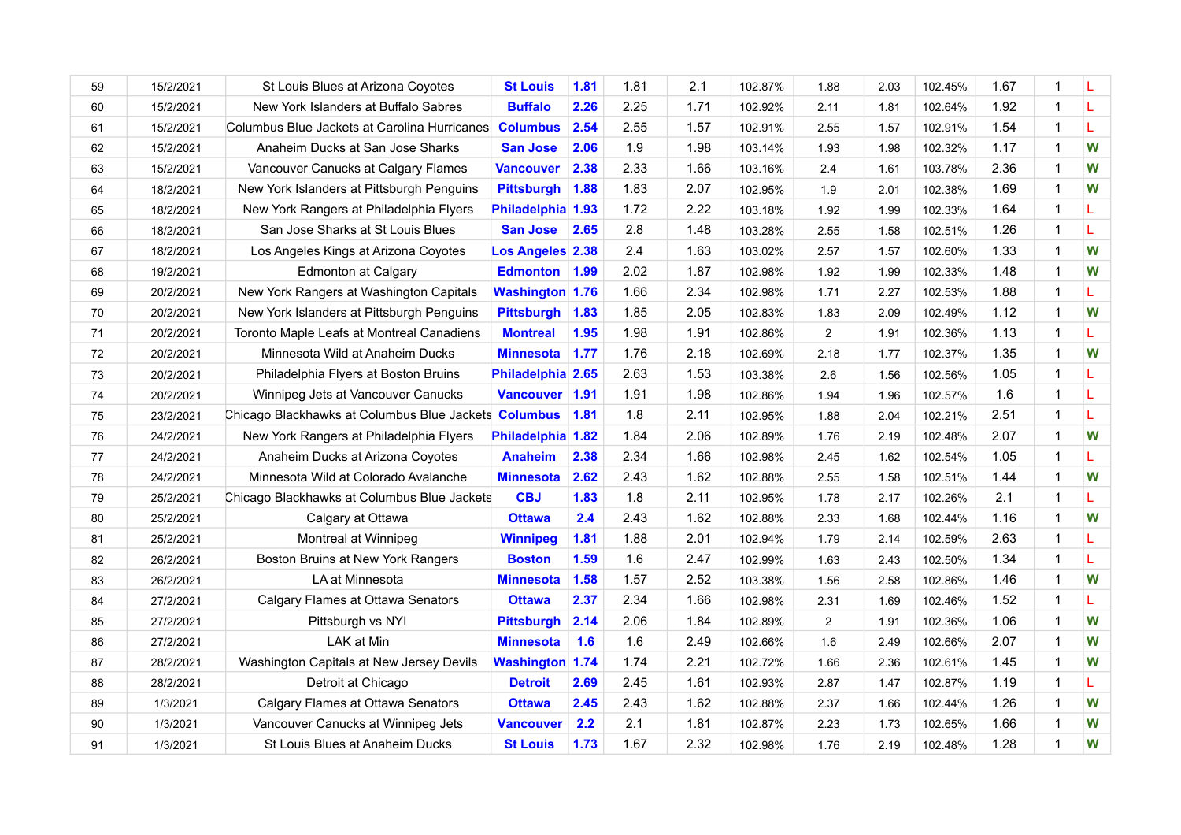| 59      | 15/2/2021 | St Louis Blues at Arizona Coyotes                    | <b>St Louis</b>         | 1.81 | 1.81 | 2.1  | 102.87% | 1.88 | 2.03 | 102.45% | 1.67 | 1              | L |
|---------|-----------|------------------------------------------------------|-------------------------|------|------|------|---------|------|------|---------|------|----------------|---|
| 60      | 15/2/2021 | New York Islanders at Buffalo Sabres                 | <b>Buffalo</b>          | 2.26 | 2.25 | 1.71 | 102.92% | 2.11 | 1.81 | 102.64% | 1.92 | $\mathbf{1}$   | L |
| 61      | 15/2/2021 | Columbus Blue Jackets at Carolina Hurricanes         | <b>Columbus</b>         | 2.54 | 2.55 | 1.57 | 102.91% | 2.55 | 1.57 | 102.91% | 1.54 | 1              | L |
| 62      | 15/2/2021 | Anaheim Ducks at San Jose Sharks                     | <b>San Jose</b>         | 2.06 | 1.9  | 1.98 | 103.14% | 1.93 | 1.98 | 102.32% | 1.17 | $\overline{1}$ | W |
| 63      | 15/2/2021 | Vancouver Canucks at Calgary Flames                  | <b>Vancouver</b>        | 2.38 | 2.33 | 1.66 | 103.16% | 2.4  | 1.61 | 103.78% | 2.36 | 1              | W |
| 64      | 18/2/2021 | New York Islanders at Pittsburgh Penguins            | <b>Pittsburgh</b>       | 1.88 | 1.83 | 2.07 | 102.95% | 1.9  | 2.01 | 102.38% | 1.69 | $\overline{1}$ | W |
| 65      | 18/2/2021 | New York Rangers at Philadelphia Flyers              | Philadelphia 1.93       |      | 1.72 | 2.22 | 103.18% | 1.92 | 1.99 | 102.33% | 1.64 | $\mathbf{1}$   | L |
| 66      | 18/2/2021 | San Jose Sharks at St Louis Blues                    | <b>San Jose</b>         | 2.65 | 2.8  | 1.48 | 103.28% | 2.55 | 1.58 | 102.51% | 1.26 | 1              | L |
| 67      | 18/2/2021 | Los Angeles Kings at Arizona Coyotes                 | <b>Los Angeles 2.38</b> |      | 2.4  | 1.63 | 103.02% | 2.57 | 1.57 | 102.60% | 1.33 | $\mathbf{1}$   | W |
| 68      | 19/2/2021 | <b>Edmonton at Calgary</b>                           | <b>Edmonton</b>         | 1.99 | 2.02 | 1.87 | 102.98% | 1.92 | 1.99 | 102.33% | 1.48 | 1              | W |
| 69      | 20/2/2021 | New York Rangers at Washington Capitals              | <b>Washington 1.76</b>  |      | 1.66 | 2.34 | 102.98% | 1.71 | 2.27 | 102.53% | 1.88 | 1              | L |
| $70\,$  | 20/2/2021 | New York Islanders at Pittsburgh Penguins            | <b>Pittsburgh</b>       | 1.83 | 1.85 | 2.05 | 102.83% | 1.83 | 2.09 | 102.49% | 1.12 | 1              | W |
| $71$    | 20/2/2021 | Toronto Maple Leafs at Montreal Canadiens            | <b>Montreal</b>         | 1.95 | 1.98 | 1.91 | 102.86% | 2    | 1.91 | 102.36% | 1.13 | $\mathbf{1}$   | L |
| 72      | 20/2/2021 | Minnesota Wild at Anaheim Ducks                      | <b>Minnesota</b>        | 1.77 | 1.76 | 2.18 | 102.69% | 2.18 | 1.77 | 102.37% | 1.35 | 1              | W |
| 73      | 20/2/2021 | Philadelphia Flyers at Boston Bruins                 | Philadelphia 2.65       |      | 2.63 | 1.53 | 103.38% | 2.6  | 1.56 | 102.56% | 1.05 | $\mathbf{1}$   | L |
| 74      | 20/2/2021 | Winnipeg Jets at Vancouver Canucks                   | Vancouver 1.91          |      | 1.91 | 1.98 | 102.86% | 1.94 | 1.96 | 102.57% | 1.6  | $\mathbf 1$    | L |
| 75      | 23/2/2021 | Chicago Blackhawks at Columbus Blue Jackets Columbus |                         | 1.81 | 1.8  | 2.11 | 102.95% | 1.88 | 2.04 | 102.21% | 2.51 | $\mathbf{1}$   | L |
| 76      | 24/2/2021 | New York Rangers at Philadelphia Flyers              | Philadelphia 1.82       |      | 1.84 | 2.06 | 102.89% | 1.76 | 2.19 | 102.48% | 2.07 | 1              | W |
| $77 \,$ | 24/2/2021 | Anaheim Ducks at Arizona Coyotes                     | <b>Anaheim</b>          | 2.38 | 2.34 | 1.66 | 102.98% | 2.45 | 1.62 | 102.54% | 1.05 | $\overline{1}$ | L |
| 78      | 24/2/2021 | Minnesota Wild at Colorado Avalanche                 | <b>Minnesota</b>        | 2.62 | 2.43 | 1.62 | 102.88% | 2.55 | 1.58 | 102.51% | 1.44 | 1              | W |
| 79      | 25/2/2021 | Chicago Blackhawks at Columbus Blue Jackets          | <b>CBJ</b>              | 1.83 | 1.8  | 2.11 | 102.95% | 1.78 | 2.17 | 102.26% | 2.1  | $\overline{1}$ | L |
| 80      | 25/2/2021 | Calgary at Ottawa                                    | <b>Ottawa</b>           | 2.4  | 2.43 | 1.62 | 102.88% | 2.33 | 1.68 | 102.44% | 1.16 | 1              | W |
| 81      | 25/2/2021 | Montreal at Winnipeg                                 | <b>Winnipeg</b>         | 1.81 | 1.88 | 2.01 | 102.94% | 1.79 | 2.14 | 102.59% | 2.63 | 1              | L |
| 82      | 26/2/2021 | Boston Bruins at New York Rangers                    | <b>Boston</b>           | 1.59 | 1.6  | 2.47 | 102.99% | 1.63 | 2.43 | 102.50% | 1.34 | $\mathbf{1}$   | L |
| 83      | 26/2/2021 | LA at Minnesota                                      | <b>Minnesota</b>        | 1.58 | 1.57 | 2.52 | 103.38% | 1.56 | 2.58 | 102.86% | 1.46 | 1              | W |
| 84      | 27/2/2021 | Calgary Flames at Ottawa Senators                    | <b>Ottawa</b>           | 2.37 | 2.34 | 1.66 | 102.98% | 2.31 | 1.69 | 102.46% | 1.52 | 1              | L |
| 85      | 27/2/2021 | Pittsburgh vs NYI                                    | <b>Pittsburgh</b>       | 2.14 | 2.06 | 1.84 | 102.89% | 2    | 1.91 | 102.36% | 1.06 | $\overline{1}$ | W |
| 86      | 27/2/2021 | LAK at Min                                           | <b>Minnesota</b>        | 1.6  | 1.6  | 2.49 | 102.66% | 1.6  | 2.49 | 102.66% | 2.07 | 1              | W |
| 87      | 28/2/2021 | Washington Capitals at New Jersey Devils             | <b>Washington 1.74</b>  |      | 1.74 | 2.21 | 102.72% | 1.66 | 2.36 | 102.61% | 1.45 | $\overline{1}$ | W |
| 88      | 28/2/2021 | Detroit at Chicago                                   | <b>Detroit</b>          | 2.69 | 2.45 | 1.61 | 102.93% | 2.87 | 1.47 | 102.87% | 1.19 | 1              | L |
| 89      | 1/3/2021  | Calgary Flames at Ottawa Senators                    | <b>Ottawa</b>           | 2.45 | 2.43 | 1.62 | 102.88% | 2.37 | 1.66 | 102.44% | 1.26 | $\overline{1}$ | W |
| 90      | 1/3/2021  | Vancouver Canucks at Winnipeg Jets                   | <b>Vancouver</b>        | 2.2  | 2.1  | 1.81 | 102.87% | 2.23 | 1.73 | 102.65% | 1.66 | 1              | W |
| 91      | 1/3/2021  | St Louis Blues at Anaheim Ducks                      | <b>St Louis</b>         | 1.73 | 1.67 | 2.32 | 102.98% | 1.76 | 2.19 | 102.48% | 1.28 | 1              | W |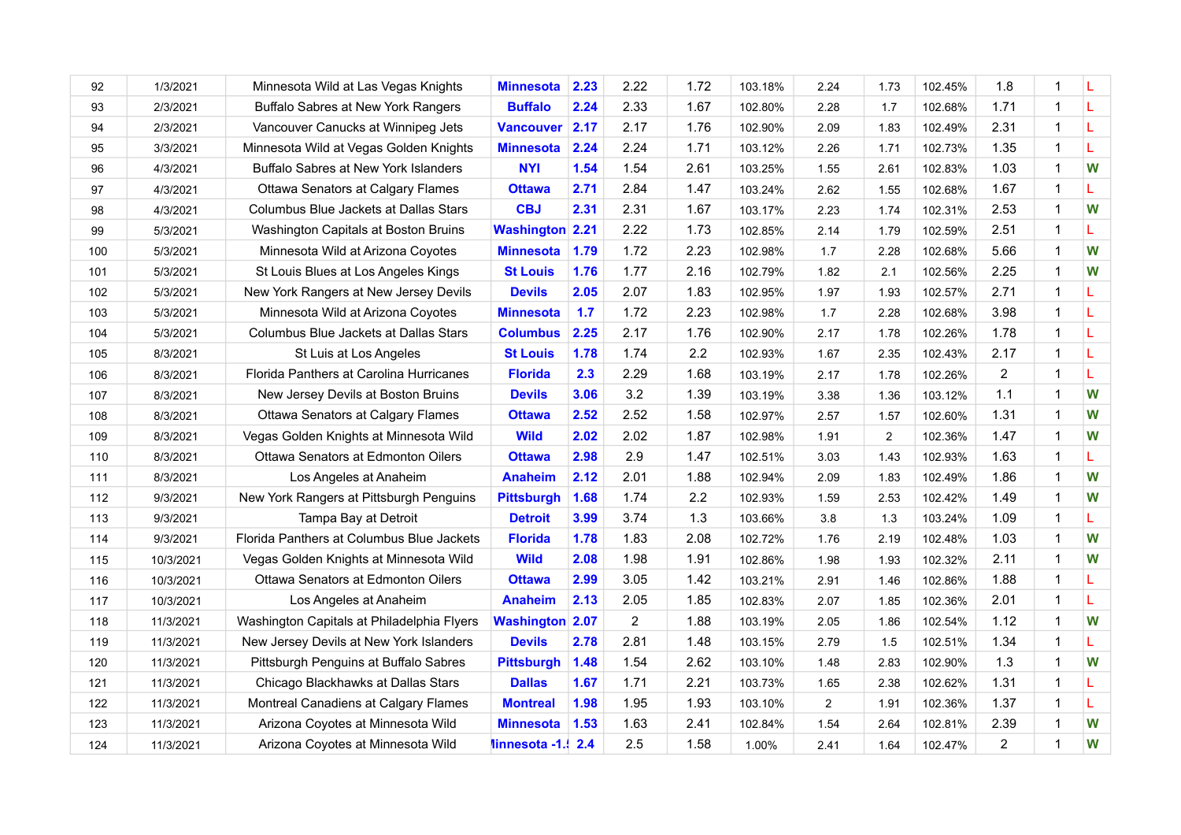| 92  | 1/3/2021  | Minnesota Wild at Las Vegas Knights        | <b>Minnesota</b>       | 2.23 | 2.22 | 1.72 | 103.18% | 2.24           | 1.73           | 102.45% | 1.8            | 1              |    |
|-----|-----------|--------------------------------------------|------------------------|------|------|------|---------|----------------|----------------|---------|----------------|----------------|----|
| 93  | 2/3/2021  | Buffalo Sabres at New York Rangers         | <b>Buffalo</b>         | 2.24 | 2.33 | 1.67 | 102.80% | 2.28           | 1.7            | 102.68% | 1.71           | $\overline{1}$ | L  |
| 94  | 2/3/2021  | Vancouver Canucks at Winnipeg Jets         | <b>Vancouver</b>       | 2.17 | 2.17 | 1.76 | 102.90% | 2.09           | 1.83           | 102.49% | 2.31           | 1              | L  |
| 95  | 3/3/2021  | Minnesota Wild at Vegas Golden Knights     | <b>Minnesota</b>       | 2.24 | 2.24 | 1.71 | 103.12% | 2.26           | 1.71           | 102.73% | 1.35           | $\mathbf 1$    | L  |
| 96  | 4/3/2021  | Buffalo Sabres at New York Islanders       | <b>NYI</b>             | 1.54 | 1.54 | 2.61 | 103.25% | 1.55           | 2.61           | 102.83% | 1.03           | $\mathbf 1$    | W  |
| 97  | 4/3/2021  | Ottawa Senators at Calgary Flames          | <b>Ottawa</b>          | 2.71 | 2.84 | 1.47 | 103.24% | 2.62           | 1.55           | 102.68% | 1.67           | $\overline{1}$ | L  |
| 98  | 4/3/2021  | Columbus Blue Jackets at Dallas Stars      | <b>CBJ</b>             | 2.31 | 2.31 | 1.67 | 103.17% | 2.23           | 1.74           | 102.31% | 2.53           | $\mathbf 1$    | W  |
| 99  | 5/3/2021  | Washington Capitals at Boston Bruins       | <b>Washington 2.21</b> |      | 2.22 | 1.73 | 102.85% | 2.14           | 1.79           | 102.59% | 2.51           | $\overline{1}$ | L  |
| 100 | 5/3/2021  | Minnesota Wild at Arizona Coyotes          | <b>Minnesota</b>       | 1.79 | 1.72 | 2.23 | 102.98% | 1.7            | 2.28           | 102.68% | 5.66           | $\overline{1}$ | W  |
| 101 | 5/3/2021  | St Louis Blues at Los Angeles Kings        | <b>St Louis</b>        | 1.76 | 1.77 | 2.16 | 102.79% | 1.82           | 2.1            | 102.56% | 2.25           | 1              | W  |
| 102 | 5/3/2021  | New York Rangers at New Jersey Devils      | <b>Devils</b>          | 2.05 | 2.07 | 1.83 | 102.95% | 1.97           | 1.93           | 102.57% | 2.71           | 1              | L  |
| 103 | 5/3/2021  | Minnesota Wild at Arizona Coyotes          | <b>Minnesota</b>       | 1.7  | 1.72 | 2.23 | 102.98% | 1.7            | 2.28           | 102.68% | 3.98           | 1              | L  |
| 104 | 5/3/2021  | Columbus Blue Jackets at Dallas Stars      | <b>Columbus</b>        | 2.25 | 2.17 | 1.76 | 102.90% | 2.17           | 1.78           | 102.26% | 1.78           | $\mathbf{1}$   | L  |
| 105 | 8/3/2021  | St Luis at Los Angeles                     | <b>St Louis</b>        | 1.78 | 1.74 | 2.2  | 102.93% | 1.67           | 2.35           | 102.43% | 2.17           | $\mathbf 1$    | L  |
| 106 | 8/3/2021  | Florida Panthers at Carolina Hurricanes    | <b>Florida</b>         | 2.3  | 2.29 | 1.68 | 103.19% | 2.17           | 1.78           | 102.26% | $\overline{2}$ | 1              | L  |
| 107 | 8/3/2021  | New Jersey Devils at Boston Bruins         | <b>Devils</b>          | 3.06 | 3.2  | 1.39 | 103.19% | 3.38           | 1.36           | 103.12% | 1.1            | $\overline{1}$ | W  |
| 108 | 8/3/2021  | Ottawa Senators at Calgary Flames          | <b>Ottawa</b>          | 2.52 | 2.52 | 1.58 | 102.97% | 2.57           | 1.57           | 102.60% | 1.31           | $\overline{1}$ | W  |
| 109 | 8/3/2021  | Vegas Golden Knights at Minnesota Wild     | <b>Wild</b>            | 2.02 | 2.02 | 1.87 | 102.98% | 1.91           | $\overline{2}$ | 102.36% | 1.47           | 1              | W  |
| 110 | 8/3/2021  | Ottawa Senators at Edmonton Oilers         | <b>Ottawa</b>          | 2.98 | 2.9  | 1.47 | 102.51% | 3.03           | 1.43           | 102.93% | 1.63           | $\overline{1}$ | L  |
| 111 | 8/3/2021  | Los Angeles at Anaheim                     | <b>Anaheim</b>         | 2.12 | 2.01 | 1.88 | 102.94% | 2.09           | 1.83           | 102.49% | 1.86           | $\mathbf 1$    | W  |
| 112 | 9/3/2021  | New York Rangers at Pittsburgh Penguins    | <b>Pittsburgh</b>      | 1.68 | 1.74 | 2.2  | 102.93% | 1.59           | 2.53           | 102.42% | 1.49           | 1              | W  |
| 113 | 9/3/2021  | Tampa Bay at Detroit                       | <b>Detroit</b>         | 3.99 | 3.74 | 1.3  | 103.66% | 3.8            | 1.3            | 103.24% | 1.09           | $\overline{1}$ | L. |
| 114 | 9/3/2021  | Florida Panthers at Columbus Blue Jackets  | <b>Florida</b>         | 1.78 | 1.83 | 2.08 | 102.72% | 1.76           | 2.19           | 102.48% | 1.03           | $\overline{1}$ | W  |
| 115 | 10/3/2021 | Vegas Golden Knights at Minnesota Wild     | <b>Wild</b>            | 2.08 | 1.98 | 1.91 | 102.86% | 1.98           | 1.93           | 102.32% | 2.11           | $\mathbf 1$    | W  |
| 116 | 10/3/2021 | Ottawa Senators at Edmonton Oilers         | <b>Ottawa</b>          | 2.99 | 3.05 | 1.42 | 103.21% | 2.91           | 1.46           | 102.86% | 1.88           | $\mathbf 1$    | L  |
| 117 | 10/3/2021 | Los Angeles at Anaheim                     | <b>Anaheim</b>         | 2.13 | 2.05 | 1.85 | 102.83% | 2.07           | 1.85           | 102.36% | 2.01           | $\overline{1}$ | L  |
| 118 | 11/3/2021 | Washington Capitals at Philadelphia Flyers | <b>Washington 2.07</b> |      | 2    | 1.88 | 103.19% | 2.05           | 1.86           | 102.54% | 1.12           | $\mathbf 1$    | W  |
| 119 | 11/3/2021 | New Jersey Devils at New York Islanders    | <b>Devils</b>          | 2.78 | 2.81 | 1.48 | 103.15% | 2.79           | 1.5            | 102.51% | 1.34           | $\mathbf{1}$   | L  |
| 120 | 11/3/2021 | Pittsburgh Penguins at Buffalo Sabres      | <b>Pittsburgh</b>      | 1.48 | 1.54 | 2.62 | 103.10% | 1.48           | 2.83           | 102.90% | 1.3            | 1              | W  |
| 121 | 11/3/2021 | Chicago Blackhawks at Dallas Stars         | <b>Dallas</b>          | 1.67 | 1.71 | 2.21 | 103.73% | 1.65           | 2.38           | 102.62% | 1.31           | 1              | L  |
| 122 | 11/3/2021 | Montreal Canadiens at Calgary Flames       | <b>Montreal</b>        | 1.98 | 1.95 | 1.93 | 103.10% | $\overline{2}$ | 1.91           | 102.36% | 1.37           | 1              | L  |
| 123 | 11/3/2021 | Arizona Coyotes at Minnesota Wild          | <b>Minnesota</b>       | 1.53 | 1.63 | 2.41 | 102.84% | 1.54           | 2.64           | 102.81% | 2.39           | $\overline{1}$ | W  |
| 124 | 11/3/2021 | Arizona Coyotes at Minnesota Wild          | linnesota -1. 2.4      |      | 2.5  | 1.58 | 1.00%   | 2.41           | 1.64           | 102.47% | $\overline{2}$ | $\overline{1}$ | W  |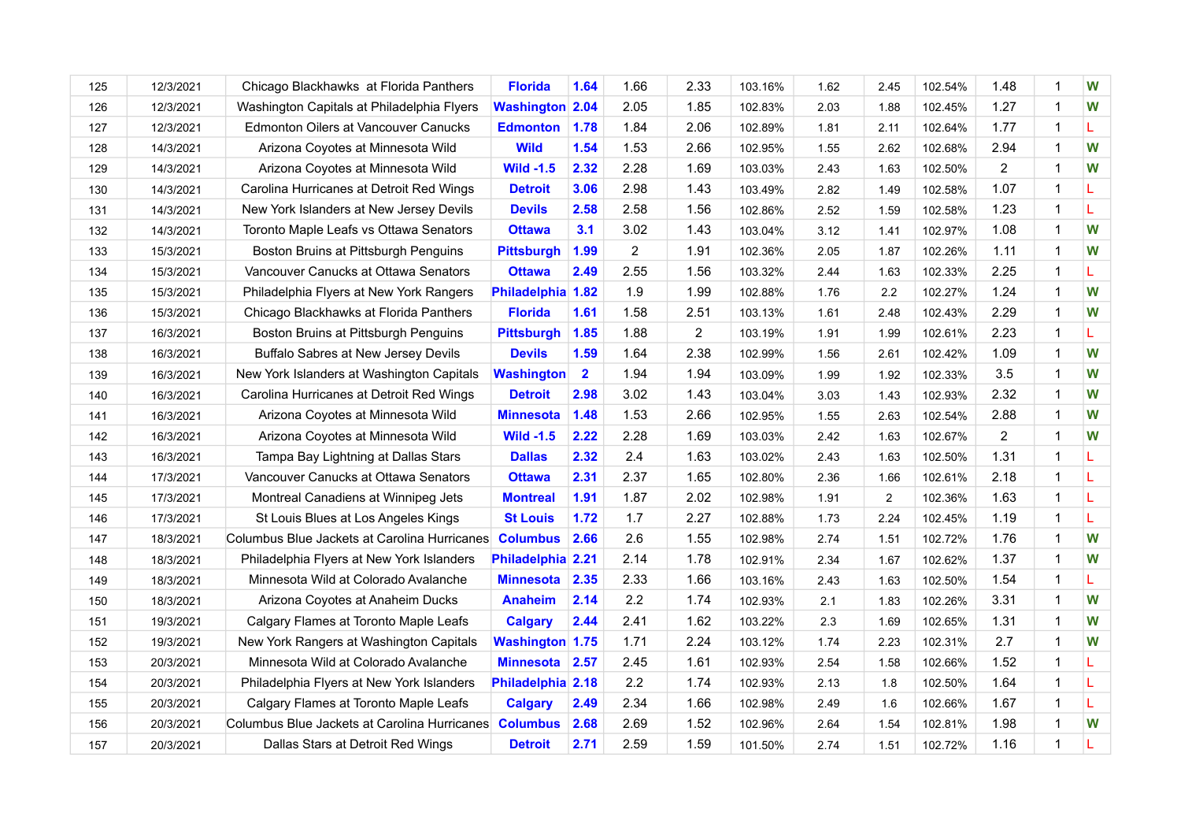| 125 | 12/3/2021 | Chicago Blackhawks at Florida Panthers       | <b>Florida</b>         | 1.64         | 1.66           | 2.33           | 103.16% | 1.62 | 2.45           | 102.54% | 1.48           |              | W |
|-----|-----------|----------------------------------------------|------------------------|--------------|----------------|----------------|---------|------|----------------|---------|----------------|--------------|---|
| 126 | 12/3/2021 | Washington Capitals at Philadelphia Flyers   | <b>Washington 2.04</b> |              | 2.05           | 1.85           | 102.83% | 2.03 | 1.88           | 102.45% | 1.27           | 1            | W |
| 127 | 12/3/2021 | <b>Edmonton Oilers at Vancouver Canucks</b>  | <b>Edmonton</b>        | 1.78         | 1.84           | 2.06           | 102.89% | 1.81 | 2.11           | 102.64% | 1.77           |              | L |
| 128 | 14/3/2021 | Arizona Coyotes at Minnesota Wild            | <b>Wild</b>            | 1.54         | 1.53           | 2.66           | 102.95% | 1.55 | 2.62           | 102.68% | 2.94           | $\mathbf{1}$ | W |
| 129 | 14/3/2021 | Arizona Coyotes at Minnesota Wild            | <b>Wild -1.5</b>       | 2.32         | 2.28           | 1.69           | 103.03% | 2.43 | 1.63           | 102.50% | 2              |              | W |
| 130 | 14/3/2021 | Carolina Hurricanes at Detroit Red Wings     | <b>Detroit</b>         | 3.06         | 2.98           | 1.43           | 103.49% | 2.82 | 1.49           | 102.58% | 1.07           | $\mathbf{1}$ | L |
| 131 | 14/3/2021 | New York Islanders at New Jersey Devils      | <b>Devils</b>          | 2.58         | 2.58           | 1.56           | 102.86% | 2.52 | 1.59           | 102.58% | 1.23           | 1            | L |
| 132 | 14/3/2021 | Toronto Maple Leafs vs Ottawa Senators       | <b>Ottawa</b>          | 3.1          | 3.02           | 1.43           | 103.04% | 3.12 | 1.41           | 102.97% | 1.08           | 1            | W |
| 133 | 15/3/2021 | Boston Bruins at Pittsburgh Penguins         | <b>Pittsburgh</b>      | 1.99         | $\overline{2}$ | 1.91           | 102.36% | 2.05 | 1.87           | 102.26% | 1.11           | $\mathbf{1}$ | W |
| 134 | 15/3/2021 | Vancouver Canucks at Ottawa Senators         | <b>Ottawa</b>          | 2.49         | 2.55           | 1.56           | 103.32% | 2.44 | 1.63           | 102.33% | 2.25           | $\mathbf 1$  | L |
| 135 | 15/3/2021 | Philadelphia Flyers at New York Rangers      | Philadelphia 1.82      |              | 1.9            | 1.99           | 102.88% | 1.76 | 2.2            | 102.27% | 1.24           |              | W |
| 136 | 15/3/2021 | Chicago Blackhawks at Florida Panthers       | <b>Florida</b>         | 1.61         | 1.58           | 2.51           | 103.13% | 1.61 | 2.48           | 102.43% | 2.29           | 1            | W |
| 137 | 16/3/2021 | Boston Bruins at Pittsburgh Penguins         | <b>Pittsburgh</b>      | 1.85         | 1.88           | $\overline{2}$ | 103.19% | 1.91 | 1.99           | 102.61% | 2.23           | $\mathbf{1}$ | L |
| 138 | 16/3/2021 | Buffalo Sabres at New Jersey Devils          | <b>Devils</b>          | 1.59         | 1.64           | 2.38           | 102.99% | 1.56 | 2.61           | 102.42% | 1.09           | $\mathbf 1$  | W |
| 139 | 16/3/2021 | New York Islanders at Washington Capitals    | <b>Washington</b>      | $\mathbf{2}$ | 1.94           | 1.94           | 103.09% | 1.99 | 1.92           | 102.33% | 3.5            | 1            | W |
| 140 | 16/3/2021 | Carolina Hurricanes at Detroit Red Wings     | <b>Detroit</b>         | 2.98         | 3.02           | 1.43           | 103.04% | 3.03 | 1.43           | 102.93% | 2.32           | 1            | W |
| 141 | 16/3/2021 | Arizona Coyotes at Minnesota Wild            | <b>Minnesota</b>       | 1.48         | 1.53           | 2.66           | 102.95% | 1.55 | 2.63           | 102.54% | 2.88           | 1            | W |
| 142 | 16/3/2021 | Arizona Coyotes at Minnesota Wild            | <b>Wild -1.5</b>       | 2.22         | 2.28           | 1.69           | 103.03% | 2.42 | 1.63           | 102.67% | $\overline{2}$ |              | W |
| 143 | 16/3/2021 | Tampa Bay Lightning at Dallas Stars          | <b>Dallas</b>          | 2.32         | 2.4            | 1.63           | 103.02% | 2.43 | 1.63           | 102.50% | 1.31           | 1            | L |
| 144 | 17/3/2021 | Vancouver Canucks at Ottawa Senators         | <b>Ottawa</b>          | 2.31         | 2.37           | 1.65           | 102.80% | 2.36 | 1.66           | 102.61% | 2.18           | 1            | L |
| 145 | 17/3/2021 | Montreal Canadiens at Winnipeg Jets          | <b>Montreal</b>        | 1.91         | 1.87           | 2.02           | 102.98% | 1.91 | $\overline{2}$ | 102.36% | 1.63           | 1            | L |
| 146 | 17/3/2021 | St Louis Blues at Los Angeles Kings          | <b>St Louis</b>        | 1.72         | 1.7            | 2.27           | 102.88% | 1.73 | 2.24           | 102.45% | 1.19           | $\mathbf{1}$ | L |
| 147 | 18/3/2021 | Columbus Blue Jackets at Carolina Hurricanes | <b>Columbus</b>        | 2.66         | 2.6            | 1.55           | 102.98% | 2.74 | 1.51           | 102.72% | 1.76           | 1            | W |
| 148 | 18/3/2021 | Philadelphia Flyers at New York Islanders    | Philadelphia 2.21      |              | 2.14           | 1.78           | 102.91% | 2.34 | 1.67           | 102.62% | 1.37           | 1            | W |
| 149 | 18/3/2021 | Minnesota Wild at Colorado Avalanche         | <b>Minnesota</b>       | 2.35         | 2.33           | 1.66           | 103.16% | 2.43 | 1.63           | 102.50% | 1.54           | $\mathbf 1$  | L |
| 150 | 18/3/2021 | Arizona Coyotes at Anaheim Ducks             | <b>Anaheim</b>         | 2.14         | 2.2            | 1.74           | 102.93% | 2.1  | 1.83           | 102.26% | 3.31           |              | W |
| 151 | 19/3/2021 | Calgary Flames at Toronto Maple Leafs        | <b>Calgary</b>         | 2.44         | 2.41           | 1.62           | 103.22% | 2.3  | 1.69           | 102.65% | 1.31           | $\mathbf 1$  | W |
| 152 | 19/3/2021 | New York Rangers at Washington Capitals      | <b>Washington 1.75</b> |              | 1.71           | 2.24           | 103.12% | 1.74 | 2.23           | 102.31% | 2.7            | 1            | W |
| 153 | 20/3/2021 | Minnesota Wild at Colorado Avalanche         | <b>Minnesota</b>       | 2.57         | 2.45           | 1.61           | 102.93% | 2.54 | 1.58           | 102.66% | 1.52           | 1            | L |
| 154 | 20/3/2021 | Philadelphia Flyers at New York Islanders    | Philadelphia 2.18      |              | 2.2            | 1.74           | 102.93% | 2.13 | 1.8            | 102.50% | 1.64           | 1            | L |
| 155 | 20/3/2021 | Calgary Flames at Toronto Maple Leafs        | <b>Calgary</b>         | 2.49         | 2.34           | 1.66           | 102.98% | 2.49 | 1.6            | 102.66% | 1.67           | $\mathbf{1}$ | L |
| 156 | 20/3/2021 | Columbus Blue Jackets at Carolina Hurricanes | <b>Columbus</b>        | 2.68         | 2.69           | 1.52           | 102.96% | 2.64 | 1.54           | 102.81% | 1.98           | 1            | W |
| 157 | 20/3/2021 | Dallas Stars at Detroit Red Wings            | <b>Detroit</b>         | 2.71         | 2.59           | 1.59           | 101.50% | 2.74 | 1.51           | 102.72% | 1.16           | $\mathbf{1}$ |   |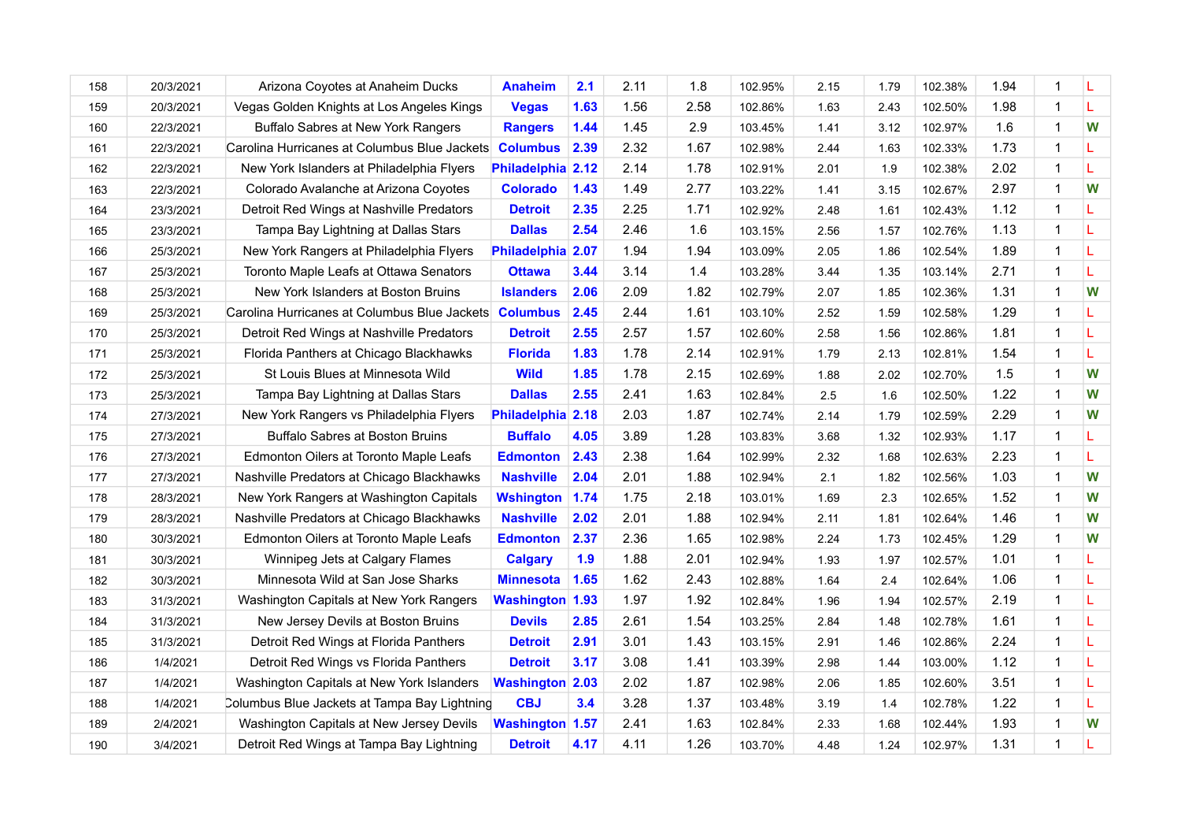| 158 | 20/3/2021 | Arizona Coyotes at Anaheim Ducks             | <b>Anaheim</b>         | 2.1  | 2.11 | 1.8  | 102.95% | 2.15 | 1.79 | 102.38% | 1.94 | 1              | L |
|-----|-----------|----------------------------------------------|------------------------|------|------|------|---------|------|------|---------|------|----------------|---|
| 159 | 20/3/2021 | Vegas Golden Knights at Los Angeles Kings    | <b>Vegas</b>           | 1.63 | 1.56 | 2.58 | 102.86% | 1.63 | 2.43 | 102.50% | 1.98 | $\overline{1}$ | L |
| 160 | 22/3/2021 | Buffalo Sabres at New York Rangers           | <b>Rangers</b>         | 1.44 | 1.45 | 2.9  | 103.45% | 1.41 | 3.12 | 102.97% | 1.6  | 1              | W |
| 161 | 22/3/2021 | Carolina Hurricanes at Columbus Blue Jackets | <b>Columbus</b>        | 2.39 | 2.32 | 1.67 | 102.98% | 2.44 | 1.63 | 102.33% | 1.73 | $\mathbf 1$    | L |
| 162 | 22/3/2021 | New York Islanders at Philadelphia Flyers    | Philadelphia 2.12      |      | 2.14 | 1.78 | 102.91% | 2.01 | 1.9  | 102.38% | 2.02 | $\mathbf{1}$   | L |
| 163 | 22/3/2021 | Colorado Avalanche at Arizona Coyotes        | <b>Colorado</b>        | 1.43 | 1.49 | 2.77 | 103.22% | 1.41 | 3.15 | 102.67% | 2.97 | $\mathbf 1$    | W |
| 164 | 23/3/2021 | Detroit Red Wings at Nashville Predators     | <b>Detroit</b>         | 2.35 | 2.25 | 1.71 | 102.92% | 2.48 | 1.61 | 102.43% | 1.12 | 1              | L |
| 165 | 23/3/2021 | Tampa Bay Lightning at Dallas Stars          | <b>Dallas</b>          | 2.54 | 2.46 | 1.6  | 103.15% | 2.56 | 1.57 | 102.76% | 1.13 | $\mathbf 1$    | L |
| 166 | 25/3/2021 | New York Rangers at Philadelphia Flyers      | Philadelphia 2.07      |      | 1.94 | 1.94 | 103.09% | 2.05 | 1.86 | 102.54% | 1.89 | $\mathbf 1$    | L |
| 167 | 25/3/2021 | Toronto Maple Leafs at Ottawa Senators       | <b>Ottawa</b>          | 3.44 | 3.14 | 1.4  | 103.28% | 3.44 | 1.35 | 103.14% | 2.71 | $\mathbf 1$    | L |
| 168 | 25/3/2021 | New York Islanders at Boston Bruins          | <b>Islanders</b>       | 2.06 | 2.09 | 1.82 | 102.79% | 2.07 | 1.85 | 102.36% | 1.31 | 1              | W |
| 169 | 25/3/2021 | Carolina Hurricanes at Columbus Blue Jackets | <b>Columbus</b>        | 2.45 | 2.44 | 1.61 | 103.10% | 2.52 | 1.59 | 102.58% | 1.29 | 1              | L |
| 170 | 25/3/2021 | Detroit Red Wings at Nashville Predators     | <b>Detroit</b>         | 2.55 | 2.57 | 1.57 | 102.60% | 2.58 | 1.56 | 102.86% | 1.81 | $\mathbf{1}$   | L |
| 171 | 25/3/2021 | Florida Panthers at Chicago Blackhawks       | <b>Florida</b>         | 1.83 | 1.78 | 2.14 | 102.91% | 1.79 | 2.13 | 102.81% | 1.54 | 1              | L |
| 172 | 25/3/2021 | St Louis Blues at Minnesota Wild             | <b>Wild</b>            | 1.85 | 1.78 | 2.15 | 102.69% | 1.88 | 2.02 | 102.70% | 1.5  | 1              | W |
| 173 | 25/3/2021 | Tampa Bay Lightning at Dallas Stars          | <b>Dallas</b>          | 2.55 | 2.41 | 1.63 | 102.84% | 2.5  | 1.6  | 102.50% | 1.22 | 1              | W |
| 174 | 27/3/2021 | New York Rangers vs Philadelphia Flyers      | Philadelphia 2.18      |      | 2.03 | 1.87 | 102.74% | 2.14 | 1.79 | 102.59% | 2.29 | 1              | W |
| 175 | 27/3/2021 | <b>Buffalo Sabres at Boston Bruins</b>       | <b>Buffalo</b>         | 4.05 | 3.89 | 1.28 | 103.83% | 3.68 | 1.32 | 102.93% | 1.17 | $\mathbf 1$    | L |
| 176 | 27/3/2021 | Edmonton Oilers at Toronto Maple Leafs       | <b>Edmonton</b>        | 2.43 | 2.38 | 1.64 | 102.99% | 2.32 | 1.68 | 102.63% | 2.23 | 1              | L |
| 177 | 27/3/2021 | Nashville Predators at Chicago Blackhawks    | <b>Nashville</b>       | 2.04 | 2.01 | 1.88 | 102.94% | 2.1  | 1.82 | 102.56% | 1.03 | $\mathbf 1$    | W |
| 178 | 28/3/2021 | New York Rangers at Washington Capitals      | <b>Wshington</b>       | 1.74 | 1.75 | 2.18 | 103.01% | 1.69 | 2.3  | 102.65% | 1.52 | 1              | W |
| 179 | 28/3/2021 | Nashville Predators at Chicago Blackhawks    | <b>Nashville</b>       | 2.02 | 2.01 | 1.88 | 102.94% | 2.11 | 1.81 | 102.64% | 1.46 | $\mathbf 1$    | W |
| 180 | 30/3/2021 | Edmonton Oilers at Toronto Maple Leafs       | <b>Edmonton</b>        | 2.37 | 2.36 | 1.65 | 102.98% | 2.24 | 1.73 | 102.45% | 1.29 | 1              | W |
| 181 | 30/3/2021 | Winnipeg Jets at Calgary Flames              | <b>Calgary</b>         | 1.9  | 1.88 | 2.01 | 102.94% | 1.93 | 1.97 | 102.57% | 1.01 | $\mathbf 1$    | L |
| 182 | 30/3/2021 | Minnesota Wild at San Jose Sharks            | <b>Minnesota</b>       | 1.65 | 1.62 | 2.43 | 102.88% | 1.64 | 2.4  | 102.64% | 1.06 | $\mathbf 1$    | L |
| 183 | 31/3/2021 | Washington Capitals at New York Rangers      | <b>Washington 1.93</b> |      | 1.97 | 1.92 | 102.84% | 1.96 | 1.94 | 102.57% | 2.19 | 1              | L |
| 184 | 31/3/2021 | New Jersey Devils at Boston Bruins           | <b>Devils</b>          | 2.85 | 2.61 | 1.54 | 103.25% | 2.84 | 1.48 | 102.78% | 1.61 | 1              | L |
| 185 | 31/3/2021 | Detroit Red Wings at Florida Panthers        | <b>Detroit</b>         | 2.91 | 3.01 | 1.43 | 103.15% | 2.91 | 1.46 | 102.86% | 2.24 | $\mathbf{1}$   | L |
| 186 | 1/4/2021  | Detroit Red Wings vs Florida Panthers        | <b>Detroit</b>         | 3.17 | 3.08 | 1.41 | 103.39% | 2.98 | 1.44 | 103.00% | 1.12 | 1              | L |
| 187 | 1/4/2021  | Washington Capitals at New York Islanders    | <b>Washington 2.03</b> |      | 2.02 | 1.87 | 102.98% | 2.06 | 1.85 | 102.60% | 3.51 | 1              | L |
| 188 | 1/4/2021  | Columbus Blue Jackets at Tampa Bay Lightning | <b>CBJ</b>             | 3.4  | 3.28 | 1.37 | 103.48% | 3.19 | 1.4  | 102.78% | 1.22 | 1              | L |
| 189 | 2/4/2021  | Washington Capitals at New Jersey Devils     | <b>Washington 1.57</b> |      | 2.41 | 1.63 | 102.84% | 2.33 | 1.68 | 102.44% | 1.93 | 1              | W |
| 190 | 3/4/2021  | Detroit Red Wings at Tampa Bay Lightning     | <b>Detroit</b>         | 4.17 | 4.11 | 1.26 | 103.70% | 4.48 | 1.24 | 102.97% | 1.31 | $\mathbf 1$    | L |